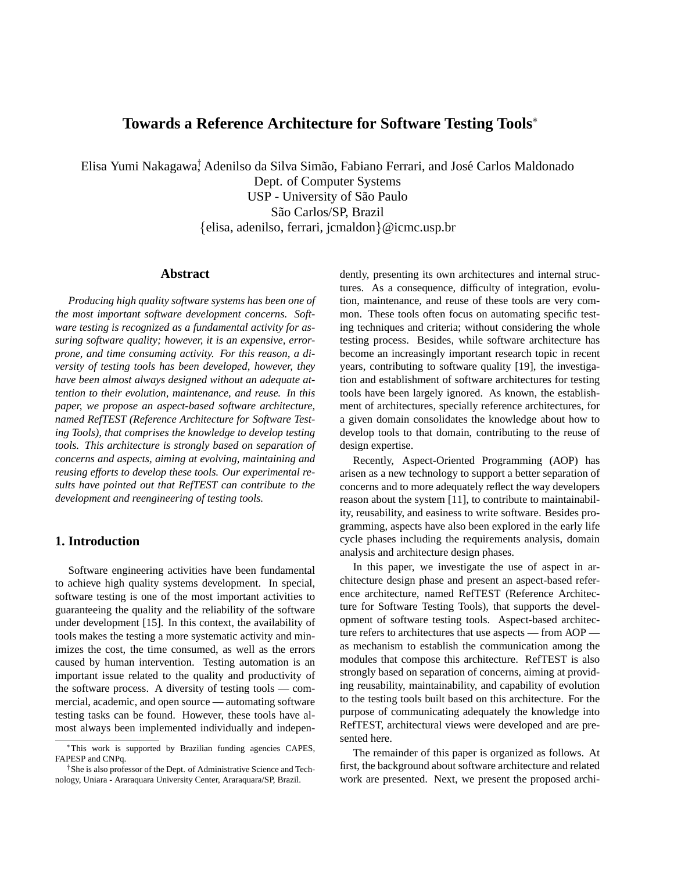# **Towards a Reference Architecture for Software Testing Tools**<sup>∗</sup>

Elisa Yumi Nakagawa<sup>†</sup> Adenilso da Silva Simão, Fabiano Ferrari, and José Carlos Maldonado

Dept. of Computer Systems USP - University of São Paulo São Carlos/SP, Brazil {elisa, adenilso, ferrari, jcmaldon}@icmc.usp.br

## **Abstract**

*Producing high quality software systems has been one of the most important software development concerns. Software testing is recognized as a fundamental activity for assuring software quality; however, it is an expensive, errorprone, and time consuming activity. For this reason, a diversity of testing tools has been developed, however, they have been almost always designed without an adequate attention to their evolution, maintenance, and reuse. In this paper, we propose an aspect-based software architecture, named RefTEST (Reference Architecture for Software Testing Tools), that comprises the knowledge to develop testing tools. This architecture is strongly based on separation of concerns and aspects, aiming at evolving, maintaining and reusing efforts to develop these tools. Our experimental results have pointed out that RefTEST can contribute to the development and reengineering of testing tools.*

# **1. Introduction**

Software engineering activities have been fundamental to achieve high quality systems development. In special, software testing is one of the most important activities to guaranteeing the quality and the reliability of the software under development [15]. In this context, the availability of tools makes the testing a more systematic activity and minimizes the cost, the time consumed, as well as the errors caused by human intervention. Testing automation is an important issue related to the quality and productivity of the software process. A diversity of testing tools — commercial, academic, and open source — automating software testing tasks can be found. However, these tools have almost always been implemented individually and independently, presenting its own architectures and internal structures. As a consequence, difficulty of integration, evolution, maintenance, and reuse of these tools are very common. These tools often focus on automating specific testing techniques and criteria; without considering the whole testing process. Besides, while software architecture has become an increasingly important research topic in recent years, contributing to software quality [19], the investigation and establishment of software architectures for testing tools have been largely ignored. As known, the establishment of architectures, specially reference architectures, for a given domain consolidates the knowledge about how to develop tools to that domain, contributing to the reuse of design expertise.

Recently, Aspect-Oriented Programming (AOP) has arisen as a new technology to support a better separation of concerns and to more adequately reflect the way developers reason about the system [11], to contribute to maintainability, reusability, and easiness to write software. Besides programming, aspects have also been explored in the early life cycle phases including the requirements analysis, domain analysis and architecture design phases.

In this paper, we investigate the use of aspect in architecture design phase and present an aspect-based reference architecture, named RefTEST (Reference Architecture for Software Testing Tools), that supports the development of software testing tools. Aspect-based architecture refers to architectures that use aspects — from AOP as mechanism to establish the communication among the modules that compose this architecture. RefTEST is also strongly based on separation of concerns, aiming at providing reusability, maintainability, and capability of evolution to the testing tools built based on this architecture. For the purpose of communicating adequately the knowledge into RefTEST, architectural views were developed and are presented here.

The remainder of this paper is organized as follows. At first, the background about software architecture and related work are presented. Next, we present the proposed archi-

<sup>∗</sup>This work is supported by Brazilian funding agencies CAPES, FAPESP and CNPq.

<sup>†</sup>She is also professor of the Dept. of Administrative Science and Technology, Uniara - Araraquara University Center, Araraquara/SP, Brazil.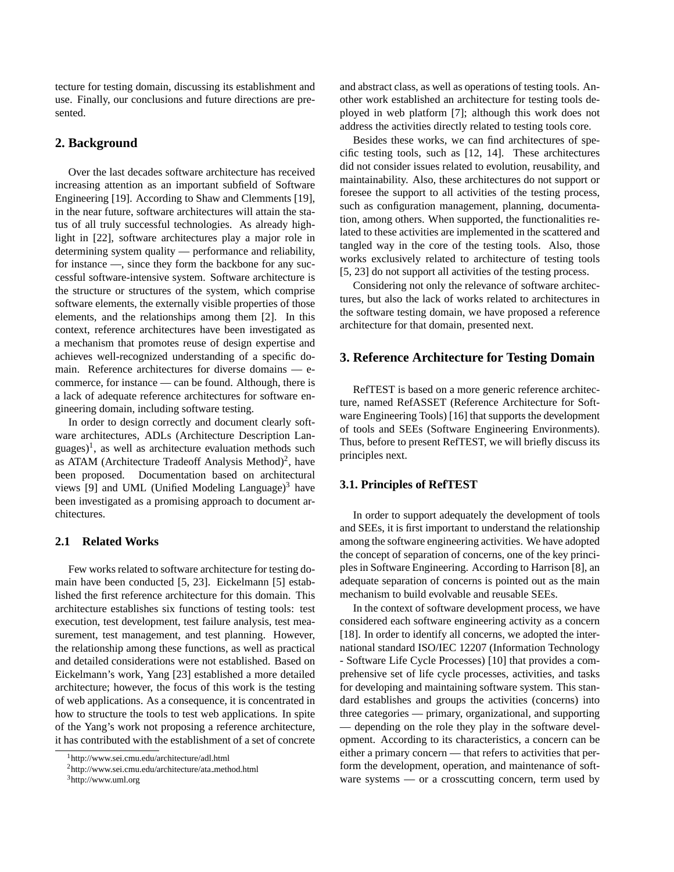tecture for testing domain, discussing its establishment and use. Finally, our conclusions and future directions are presented.

## **2. Background**

Over the last decades software architecture has received increasing attention as an important subfield of Software Engineering [19]. According to Shaw and Clemments [19], in the near future, software architectures will attain the status of all truly successful technologies. As already highlight in [22], software architectures play a major role in determining system quality — performance and reliability, for instance —, since they form the backbone for any successful software-intensive system. Software architecture is the structure or structures of the system, which comprise software elements, the externally visible properties of those elements, and the relationships among them [2]. In this context, reference architectures have been investigated as a mechanism that promotes reuse of design expertise and achieves well-recognized understanding of a specific domain. Reference architectures for diverse domains — ecommerce, for instance — can be found. Although, there is a lack of adequate reference architectures for software engineering domain, including software testing.

In order to design correctly and document clearly software architectures, ADLs (Architecture Description Languages)<sup>1</sup>, as well as architecture evaluation methods such as ATAM (Architecture Tradeoff Analysis Method)<sup>2</sup>, have been proposed. Documentation based on architectural views [9] and UML (Unified Modeling Language) $3$  have been investigated as a promising approach to document architectures.

### **2.1 Related Works**

Few works related to software architecture for testing domain have been conducted [5, 23]. Eickelmann [5] established the first reference architecture for this domain. This architecture establishes six functions of testing tools: test execution, test development, test failure analysis, test measurement, test management, and test planning. However, the relationship among these functions, as well as practical and detailed considerations were not established. Based on Eickelmann's work, Yang [23] established a more detailed architecture; however, the focus of this work is the testing of web applications. As a consequence, it is concentrated in how to structure the tools to test web applications. In spite of the Yang's work not proposing a reference architecture, it has contributed with the establishment of a set of concrete

and abstract class, as well as operations of testing tools. Another work established an architecture for testing tools deployed in web platform [7]; although this work does not address the activities directly related to testing tools core.

Besides these works, we can find architectures of specific testing tools, such as [12, 14]. These architectures did not consider issues related to evolution, reusability, and maintainability. Also, these architectures do not support or foresee the support to all activities of the testing process, such as configuration management, planning, documentation, among others. When supported, the functionalities related to these activities are implemented in the scattered and tangled way in the core of the testing tools. Also, those works exclusively related to architecture of testing tools [5, 23] do not support all activities of the testing process.

Considering not only the relevance of software architectures, but also the lack of works related to architectures in the software testing domain, we have proposed a reference architecture for that domain, presented next.

### **3. Reference Architecture for Testing Domain**

RefTEST is based on a more generic reference architecture, named RefASSET (Reference Architecture for Software Engineering Tools) [16] that supports the development of tools and SEEs (Software Engineering Environments). Thus, before to present RefTEST, we will briefly discuss its principles next.

#### **3.1. Principles of RefTEST**

In order to support adequately the development of tools and SEEs, it is first important to understand the relationship among the software engineering activities. We have adopted the concept of separation of concerns, one of the key principles in Software Engineering. According to Harrison [8], an adequate separation of concerns is pointed out as the main mechanism to build evolvable and reusable SEEs.

In the context of software development process, we have considered each software engineering activity as a concern [18]. In order to identify all concerns, we adopted the international standard ISO/IEC 12207 (Information Technology - Software Life Cycle Processes) [10] that provides a comprehensive set of life cycle processes, activities, and tasks for developing and maintaining software system. This standard establishes and groups the activities (concerns) into three categories — primary, organizational, and supporting — depending on the role they play in the software development. According to its characteristics, a concern can be either a primary concern — that refers to activities that perform the development, operation, and maintenance of software systems — or a crosscutting concern, term used by

<sup>1</sup>http://www.sei.cmu.edu/architecture/adl.html

<sup>2</sup>http://www.sei.cmu.edu/architecture/ata method.html

<sup>3</sup>http://www.uml.org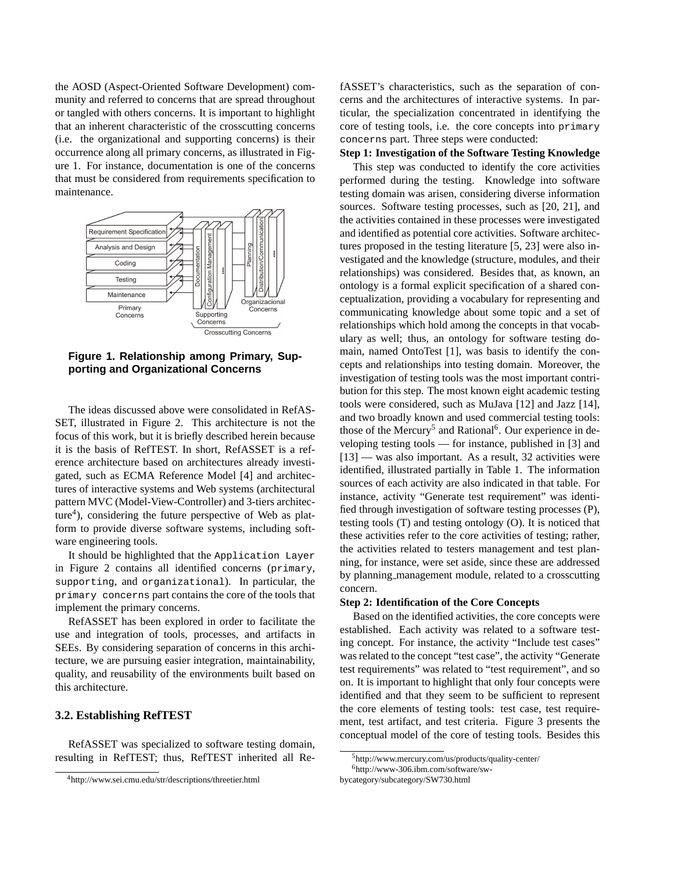the AOSD (Aspect-Oriented Software Development) community and referred to concerns that are spread throughout or tangled with others concerns. It is important to highlight that an inherent characteristic of the crosscutting concerns (i.e. the organizational and supporting concerns) is their occurrence along all primary concerns, as illustrated in Figure 1. For instance, documentation is one of the concerns that must be considered from requirements specification to maintenance.



**Figure 1. Relationship among Primary, Supporting and Organizational Concerns**

The ideas discussed above were consolidated in RefAS-SET, illustrated in Figure 2. This architecture is not the focus of this work, but it is briefly described herein because it is the basis of RefTEST. In short, RefASSET is a reference architecture based on architectures already investigated, such as ECMA Reference Model [4] and architectures of interactive systems and Web systems (architectural pattern MVC (Model-View-Controller) and 3-tiers architecture<sup>4</sup>), considering the future perspective of Web as platform to provide diverse software systems, including software engineering tools.

It should be highlighted that the Application Layer in Figure 2 contains all identified concerns (primary, supporting, and organizational). In particular, the primary concerns part contains the core of the tools that implement the primary concerns.

RefASSET has been explored in order to facilitate the use and integration of tools, processes, and artifacts in SEEs. By considering separation of concerns in this architecture, we are pursuing easier integration, maintainability, quality, and reusability of the environments built based on this architecture.

# **3.2. Establishing RefTEST**

RefASSET was specialized to software testing domain, resulting in RefTEST; thus, RefTEST inherited all RefASSET's characteristics, such as the separation of concerns and the architectures of interactive systems. In particular, the specialization concentrated in identifying the core of testing tools, i.e. the core concepts into primary concerns part. Three steps were conducted:

#### **Step 1: Investigation of the Software Testing Knowledge**

This step was conducted to identify the core activities performed during the testing. Knowledge into software testing domain was arisen, considering diverse information sources. Software testing processes, such as [20, 21], and the activities contained in these processes were investigated and identified as potential core activities. Software architectures proposed in the testing literature [5, 23] were also investigated and the knowledge (structure, modules, and their relationships) was considered. Besides that, as known, an ontology is a formal explicit specification of a shared conceptualization, providing a vocabulary for representing and communicating knowledge about some topic and a set of relationships which hold among the concepts in that vocabulary as well; thus, an ontology for software testing domain, named OntoTest [1], was basis to identify the concepts and relationships into testing domain. Moreover, the investigation of testing tools was the most important contribution for this step. The most known eight academic testing tools were considered, such as MuJava [12] and Jazz [14], and two broadly known and used commercial testing tools: those of the Mercury<sup>5</sup> and Rational<sup>6</sup>. Our experience in developing testing tools — for instance, published in [3] and [13] — was also important. As a result, 32 activities were identified, illustrated partially in Table 1. The information sources of each activity are also indicated in that table. For instance, activity "Generate test requirement" was identified through investigation of software testing processes (P), testing tools (T) and testing ontology (O). It is noticed that these activities refer to the core activities of testing; rather, the activities related to testers management and test planning, for instance, were set aside, since these are addressed by planning management module, related to a crosscutting concern.

#### **Step 2: Identification of the Core Concepts**

Based on the identified activities, the core concepts were established. Each activity was related to a software testing concept. For instance, the activity "Include test cases" was related to the concept "test case", the activity "Generate test requirements" was related to "test requirement", and so on. It is important to highlight that only four concepts were identified and that they seem to be sufficient to represent the core elements of testing tools: test case, test requirement, test artifact, and test criteria. Figure 3 presents the conceptual model of the core of testing tools. Besides this

<sup>4</sup>http://www.sei.cmu.edu/str/descriptions/threetier.html

<sup>5</sup>http://www.mercury.com/us/products/quality-center/

<sup>6</sup>http://www-306.ibm.com/software/sw-

bycategory/subcategory/SW730.html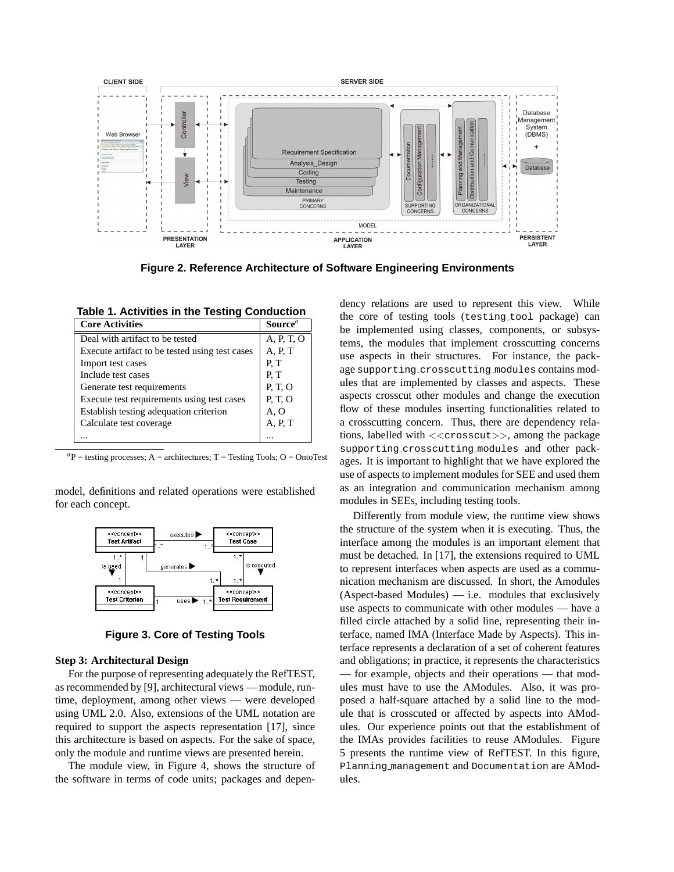

**Figure 2. Reference Architecture of Software Engineering Environments**

**Table 1. Activities in the Testing Conduction**

| <b>Core Activities</b>                         | Source <sup>a</sup> |
|------------------------------------------------|---------------------|
| Deal with artifact to be tested                | A, P, T, O          |
| Execute artifact to be tested using test cases | A, P, T             |
| Import test cases                              | P.T                 |
| Include test cases                             | P.T                 |
| Generate test requirements                     | P.T.O               |
| Execute test requirements using test cases     | P.T.O               |
| Establish testing adequation criterion         | A, O                |
| Calculate test coverage                        | A, P, T             |
|                                                |                     |

 ${}^{a}P$  = testing processes; A = architectures; T = Testing Tools; O = OntoTest

model, definitions and related operations were established for each concept.



**Figure 3. Core of Testing Tools**

#### **Step 3: Architectural Design**

For the purpose of representing adequately the RefTEST, as recommended by [9], architectural views — module, runtime, deployment, among other views — were developed using UML 2.0. Also, extensions of the UML notation are required to support the aspects representation [17], since this architecture is based on aspects. For the sake of space, only the module and runtime views are presented herein.

The module view, in Figure 4, shows the structure of the software in terms of code units; packages and dependency relations are used to represent this view. While the core of testing tools (testing tool package) can be implemented using classes, components, or subsystems, the modules that implement crosscutting concerns use aspects in their structures. For instance, the package supporting crosscutting modules contains modules that are implemented by classes and aspects. These aspects crosscut other modules and change the execution flow of these modules inserting functionalities related to a crosscutting concern. Thus, there are dependency relations, labelled with <<crosscut>>, among the package supporting crosscutting modules and other packages. It is important to highlight that we have explored the use of aspects to implement modules for SEE and used them as an integration and communication mechanism among modules in SEEs, including testing tools.

Differently from module view, the runtime view shows the structure of the system when it is executing. Thus, the interface among the modules is an important element that must be detached. In [17], the extensions required to UML to represent interfaces when aspects are used as a communication mechanism are discussed. In short, the Amodules (Aspect-based Modules) — i.e. modules that exclusively use aspects to communicate with other modules — have a filled circle attached by a solid line, representing their interface, named IMA (Interface Made by Aspects). This interface represents a declaration of a set of coherent features and obligations; in practice, it represents the characteristics — for example, objects and their operations — that modules must have to use the AModules. Also, it was proposed a half-square attached by a solid line to the module that is crosscuted or affected by aspects into AModules. Our experience points out that the establishment of the IMAs provides facilities to reuse AModules. Figure 5 presents the runtime view of RefTEST. In this figure, Planning management and Documentation are AModules.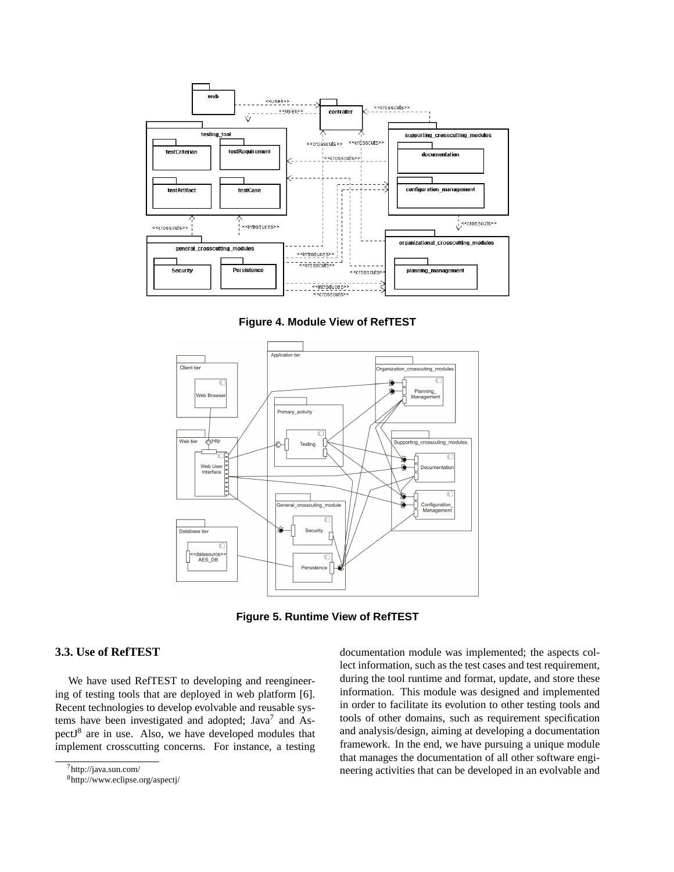

**Figure 4. Module View of RefTEST**



**Figure 5. Runtime View of RefTEST**

### **3.3. Use of RefTEST**

We have used RefTEST to developing and reengineering of testing tools that are deployed in web platform [6]. Recent technologies to develop evolvable and reusable systems have been investigated and adopted; Java<sup>7</sup> and AspectJ<sup>8</sup> are in use. Also, we have developed modules that implement crosscutting concerns. For instance, a testing documentation module was implemented; the aspects collect information, such as the test cases and test requirement, during the tool runtime and format, update, and store these information. This module was designed and implemented in order to facilitate its evolution to other testing tools and tools of other domains, such as requirement specification and analysis/design, aiming at developing a documentation framework. In the end, we have pursuing a unique module that manages the documentation of all other software engineering activities that can be developed in an evolvable and

<sup>7</sup>http://java.sun.com/

<sup>8</sup>http://www.eclipse.org/aspectj/